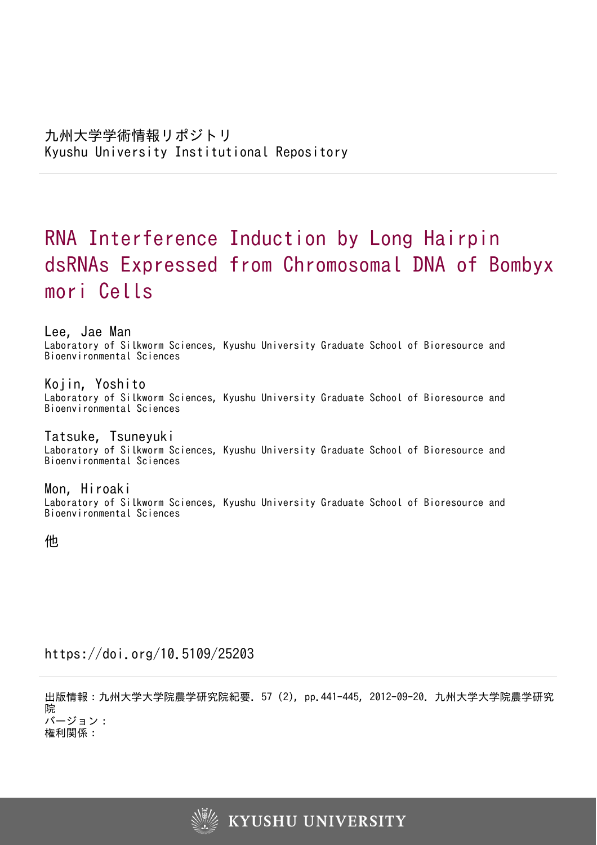# RNA Interference Induction by Long Hairpin dsRNAs Expressed from Chromosomal DNA of Bombyx mori Cells

Lee, Jae Man Laboratory of Silkworm Sciences, Kyushu University Graduate School of Bioresource and Bioenvironmental Sciences

Kojin, Yoshito Laboratory of Silkworm Sciences, Kyushu University Graduate School of Bioresource and Bioenvironmental Sciences

Tatsuke, Tsuneyuki Laboratory of Silkworm Sciences, Kyushu University Graduate School of Bioresource and Bioenvironmental Sciences

Mon, Hiroaki Laboratory of Silkworm Sciences, Kyushu University Graduate School of Bioresource and Bioenvironmental Sciences

他

https://doi.org/10.5109/25203

出版情報:九州大学大学院農学研究院紀要. 57 (2), pp.441-445, 2012-09-20. 九州大学大学院農学研究 院 バージョン: 権利関係:

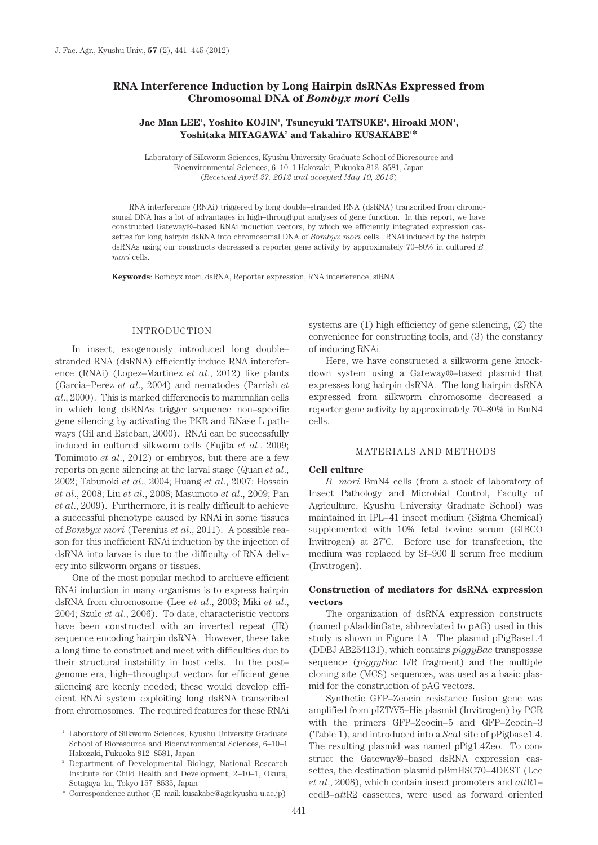# **RNA Interference Induction by Long Hairpin dsRNAs Expressed from Chromosomal DNA of** *Bombyx mori* **Cells**

# **Jae Man LEE1 , Yoshito KOJIN1 , Tsuneyuki TATSUKE1 , Hiroaki MON1 ,**  Yoshitaka MIYAGAWA<sup>2</sup> and Takahiro KUSAKABE<sup>1\*</sup>

Laboratory of Silkworm Sciences, Kyushu University Graduate School of Bioresource and Bioenvironmental Sciences, 6–10–1 Hakozaki, Fukuoka 812–8581, Japan (*Received April 27, 2012 and accepted May 10, 2012*)

RNA interference (RNAi) triggered by long double–stranded RNA (dsRNA) transcribed from chromosomal DNA has a lot of advantages in high–throughput analyses of gene function. In this report, we have constructed Gateway®–based RNAi induction vectors, by which we efficiently integrated expression cassettes for long hairpin dsRNA into chromosomal DNA of *Bombyx mori* cells. RNAi induced by the hairpin dsRNAs using our constructs decreased a reporter gene activity by approximately 70–80% in cultured *B. mori* cells.

**Keywords**: Bombyx mori, dsRNA, Reporter expression, RNA interference, siRNA

## INTRODUCTION

In insect, exogenously introduced long double– stranded RNA (dsRNA) efficiently induce RNA intereference (RNAi) (Lopez–Martinez *et al*., 2012) like plants (Garcia–Perez *et al*., 2004) and nematodes (Parrish *et al*., 2000). This is marked differenceis to mammalian cells in which long dsRNAs trigger sequence non–specific gene silencing by activating the PKR and RNase L pathways (Gil and Esteban, 2000). RNAi can be successfully induced in cultured silkworm cells (Fujita *et al*., 2009; Tomimoto *et al*., 2012) or embryos, but there are a few reports on gene silencing at the larval stage (Quan *et al*., 2002; Tabunoki *et al*., 2004; Huang *et al*., 2007; Hossain *et al*., 2008; Liu *et al*., 2008; Masumoto *et al*., 2009; Pan *et al*., 2009). Furthermore, it is really difficult to achieve a successful phenotype caused by RNAi in some tissues of *Bombyx mori* (Terenius *et al*., 2011). A possible reason for this inefficient RNAi induction by the injection of dsRNA into larvae is due to the difficulty of RNA delivery into silkworm organs or tissues.

One of the most popular method to archieve efficient RNAi induction in many organisms is to express hairpin dsRNA from chromosome (Lee *et al*., 2003; Miki *et al*., 2004; Szulc *et al*., 2006). To date, characteristic vectors have been constructed with an inverted repeat (IR) sequence encoding hairpin dsRNA. However, these take a long time to construct and meet with difficulties due to their structural instability in host cells. In the post– genome era, high–throughput vectors for efficient gene silencing are keenly needed; these would develop efficient RNAi system exploiting long dsRNA transcribed from chromosomes. The required features for these RNAi systems are (1) high efficiency of gene silencing, (2) the convenience for constructing tools, and (3) the constancy of inducing RNAi.

Here, we have constructed a silkworm gene knockdown system using a Gateway®–based plasmid that expresses long hairpin dsRNA. The long hairpin dsRNA expressed from silkworm chromosome decreased a reporter gene activity by approximately 70–80% in BmN4 cells.

## MATERIALS AND METHODS

#### **Cell culture**

*B. mori* BmN4 cells (from a stock of laboratory of Insect Pathology and Microbial Control, Faculty of Agriculture, Kyushu University Graduate School) was maintained in IPL–41 insect medium (Sigma Chemical) supplemented with 10% fetal bovine serum (GIBCO Invitrogen) at 27˚C. Before use for transfection, the medium was replaced by Sf–900 II serum free medium (Invitrogen).

## **Construction of mediators for dsRNA expression vectors**

The organization of dsRNA expression constructs (named pAladdinGate, abbreviated to pAG) used in this study is shown in Figure 1A. The plasmid pPigBase1.4 (DDBJ AB254131), which contains *piggyBac* transposase sequence (*piggyBac* L/R fragment) and the multiple cloning site (MCS) sequences, was used as a basic plasmid for the construction of pAG vectors.

Synthetic GFP–Zeocin resistance fusion gene was amplified from pIZT/V5–His plasmid (Invitrogen) by PCR with the primers GFP–Zeocin–5 and GFP–Zeocin–3 (Table 1), and introduced into a *Sca*I site of pPigbase1.4. The resulting plasmid was named pPig1.4Zeo. To construct the Gateway®–based dsRNA expression cassettes, the destination plasmid pBmHSC70–4DEST (Lee *et al*., 2008), which contain insect promoters and *att*R1– ccdB–*att*R2 cassettes, were used as forward oriented

 $^{\mathrm{1}}\,$  Laboratory of Silkworm Sciences, Kyushu University Graduate School of Bioresource and Bioenvironmental Sciences, 6–10–1 Hakozaki, Fukuoka 812–8581, Japan

<sup>2</sup> Department of Developmental Biology, National Research Institute for Child Health and Development, 2–10–1, Okura, Setagaya–ku, Tokyo 157–8535, Japan

<sup>\*</sup> Correspondence author (E–mail: kusakabe@agr.kyushu-u.ac.jp)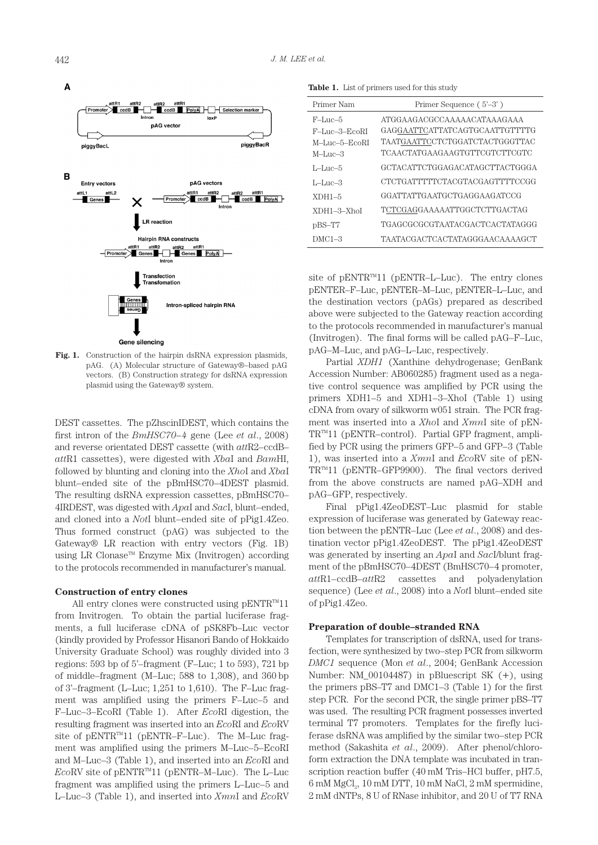

**Fig. 1.** Construction of the hairpin dsRNA expression plasmids, pAG. (A) Molecular structure of Gateway®–based pAG vectors. (B) Construction strategy for dsRNA expression plasmid using the Gateway® system.

DEST cassettes. The pZhscinIDEST, which contains the first intron of the *BmHSC70–4* gene (Lee *et al*., 2008) and reverse orientated DEST cassette (with *att*R2–ccdB– *att*R1 cassettes), were digested with *Xba*I and *Bam*HI, followed by blunting and cloning into the *Xho*I and *Xba*I blunt–ended site of the pBmHSC70–4DEST plasmid. The resulting dsRNA expression cassettes, pBmHSC70– 4IRDEST, was digested with *Apa*I and *Sac*I, blunt–ended, and cloned into a *Not*I blunt–ended site of pPig1.4Zeo. Thus formed construct (pAG) was subjected to the Gateway® LR reaction with entry vectors (Fig. 1B) using LR Clonase™ Enzyme Mix (Invitrogen) according to the protocols recommended in manufacturer's manual.

## **Construction of entry clones**

All entry clones were constructed using  $pENTR^{m}11$ from Invitrogen. To obtain the partial luciferase fragments, a full luciferase cDNA of pSK8Fb–Luc vector (kindly provided by Professor Hisanori Bando of Hokkaido University Graduate School) was roughly divided into 3 regions: 593 bp of 5'–fragment (F–Luc; 1 to 593), 721 bp of middle–fragment (M–Luc; 588 to 1,308), and 360 bp of 3'–fragment (L–Luc; 1,251 to 1,610). The F–Luc fragment was amplified using the primers F–Luc–5 and F–Luc–3–EcoRI (Table 1). After *Eco*RI digestion, the resulting fragment was inserted into an *Eco*RI and *Eco*RV site of  $pENTR^m11$  ( $pENTR-F-Luc$ ). The M-Luc fragment was amplified using the primers M–Luc–5–EcoRI and M–Luc–3 (Table 1), and inserted into an *Eco*RI and *EcoRV* site of pENTR<sup>™11</sup> (pENTR–M–Luc). The L–Luc fragment was amplified using the primers L–Luc–5 and L–Luc–3 (Table 1), and inserted into *Xmn*I and *Eco*RV

**Table 1.** List of primers used for this study

| Primer Nam              | Primer Sequence (5'-3')        |
|-------------------------|--------------------------------|
| $F-I$ are $-5$          | ATGGAAGACGCCAAAAACATAAAGAAA    |
| F-Luc-3-EcoRI           | GAGGAATTCATTATCAGTGCAATTGTTTTG |
| $M$ –Luc–5– $E$ co $RI$ | TAATGAATTCCTCTGGATCTACTGGGTTAC |
| $M$ –Luc–3              | TCAACTATGAAGAAGTGTTCGTCTTCGTC  |
| L-Luc-5                 | GCTACATTCTGGAGACATAGCTTACTGGGA |
| L-Luc-3                 | CTCTGATTTTTCTACGTACGAGTTTTCCGG |
| $XDH1-5$                | GGATTATTGAATGCTGAGGAAGATCCG    |
| $XDH1 - 3 - Xhol$       | TCTCGAGGAAAAATTGGCTCTTGACTAG   |
| pBS-T7                  | TGAGCGCGCGTAATACGACTCACTATAGGG |
| $DMC1-3$                | TAATACGACTCACTATAGGGAACAAAAGCT |

site of  $pENTR^m11$  ( $pENTR-L-Luc$ ). The entry clones pENTER–F–Luc, pENTER–M–Luc, pENTER–L–Luc, and the destination vectors (pAGs) prepared as described above were subjected to the Gateway reaction according to the protocols recommended in manufacturer's manual (Invitrogen). The final forms will be called pAG–F–Luc, pAG–M–Luc, and pAG–L–Luc, respectively.

Partial *XDH1* (Xanthine dehydrogenase; GenBank Accession Number: AB060285) fragment used as a negative control sequence was amplified by PCR using the primers XDH1–5 and XDH1–3–XhoI (Table 1) using cDNA from ovary of silkworm w051 strain. The PCR fragment was inserted into a *Xho*I and *Xmn*I site of pEN- $TR^{TM}11$  (pENTR-control). Partial GFP fragment, amplified by PCR using the primers GFP–5 and GFP–3 (Table 1), was inserted into a *Xmn*I and *Eco*RV site of pEN- $TR^{TM}11$  (pENTR-GFP9900). The final vectors derived from the above constructs are named pAG–XDH and pAG–GFP, respectively.

Final pPig1.4ZeoDEST–Luc plasmid for stable expression of luciferase was generated by Gateway reaction between the pENTR–Luc (Lee *et al*., 2008) and destination vector pPig1.4ZeoDEST. The pPig1.4ZeoDEST was generated by inserting an *Apa*I and *Sac*I/blunt fragment of the pBmHSC70–4DEST (BmHSC70–4 promoter, *att*R1–ccdB–*att*R2 cassettes and polyadenylation sequence) (Lee *et al*., 2008) into a *Not*I blunt–ended site of pPig1.4Zeo.

#### **Preparation of double–stranded RNA**

Templates for transcription of dsRNA, used for transfection, were synthesized by two–step PCR from silkworm *DMC1* sequence (Mon *et al*., 2004; GenBank Accession Number: NM\_00104487) in pBluescript SK (+), using the primers pBS–T7 and DMC1–3 (Table 1) for the first step PCR. For the second PCR, the single primer pBS–T7 was used. The resulting PCR fragment possesses inverted terminal T7 promoters. Templates for the firefly luciferase dsRNA was amplified by the similar two–step PCR method (Sakashita *et al*., 2009). After phenol/chloroform extraction the DNA template was incubated in transcription reaction buffer (40 mM Tris–HCl buffer, pH7.5,  $6$  mM  $MgCl<sub>2</sub>$ ,  $10$  mM DTT,  $10$  mM NaCl,  $2$  mM spermidine, 2 mM dNTPs, 8 U of RNase inhibitor, and 20 U of T7 RNA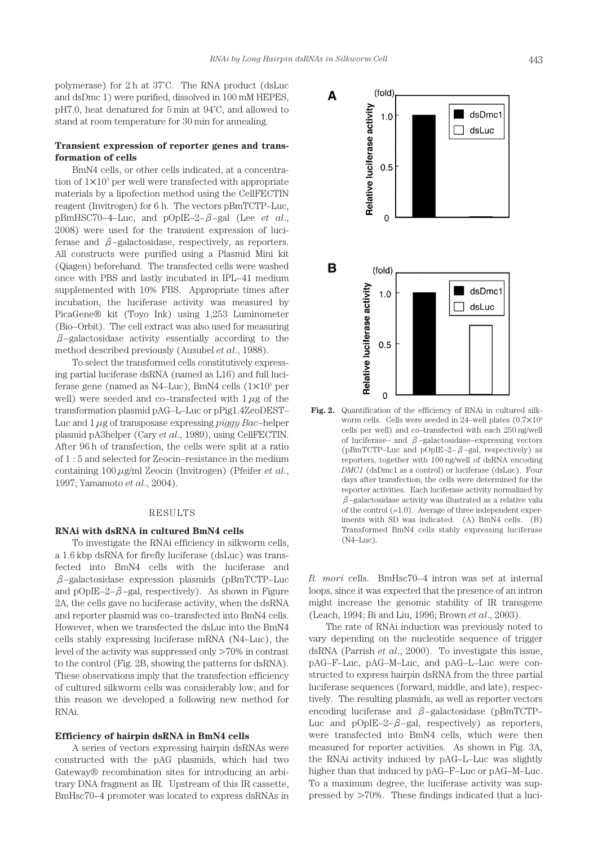polymerase) for 2 h at 37˚C. The RNA product (dsLuc and dsDmc 1) were purified, dissolved in 100 mM HEPES, pH7.0, heat denatured for 5 min at 94˚C, and allowed to stand at room temperature for 30 min for annealing.

## **Transient expression of reporter genes and transformation of cells**

BmN4 cells, or other cells indicated, at a concentration of  $1 \times 10^5$  per well were transfected with appropriate materials by a lipofection method using the CellFECTIN reagent (Invitrogen) for 6 h. The vectors pBmTCTP–Luc, pBmHSC70–4–Luc, and pOpIE–2–β–gal (Lee *et al*., 2008) were used for the transient expression of luciferase and  $\beta$ –galactosidase, respectively, as reporters. All constructs were purified using a Plasmid Mini kit (Qiagen) beforehand. The transfected cells were washed once with PBS and lastly incubated in IPL–41 medium supplemented with 10% FBS. Appropriate times after incubation, the luciferase activity was measured by PicaGene® kit (Toyo Ink) using 1,253 Luminometer (Bio–Orbit). The cell extract was also used for measuring  $\beta$ –galactosidase activity essentially according to the method described previously (Ausubel *et al*., 1988).

To select the transformed cells constitutively expressing partial luciferase dsRNA (named as L16) and full luciferase gene (named as N4–Luc), BmN4 cells  $(1\times10^5\,\mathrm{per})$ well) were seeded and co–transfected with 1 *μ*g of the transformation plasmid pAG–L–Luc or pPig1.4ZeoDEST– Luc and 1 *μ*g of transposase expressing *piggy Bac*–helper plasmid pA3helper (Cary *et al*., 1989), using CellFECTIN. After 96 h of transfection, the cells were split at a ratio of 1 : 5 and selected for Zeocin–resistance in the medium containing 100 *μ*g/ml Zeocin (Invitrogen) (Pfeifer *et al*., 1997; Yamamoto *et al*., 2004).

## RESULTS

## **RNAi with dsRNA in cultured BmN4 cells**

To investigate the RNAi efficiency in silkworm cells, a 1.6 kbp dsRNA for firefly luciferase (dsLuc) was transfected into BmN4 cells with the luciferase and  $\beta$ –galactosidase expression plasmids (pBmTCTP–Luc and pOpIE–2– $\beta$ –gal, respectively). As shown in Figure 2A, the cells gave no luciferase activity, when the dsRNA and reporter plasmid was co–transfected into BmN4 cells. However, when we transfected the dsLuc into the BmN4 cells stably expressing luciferase mRNA (N4–Luc), the level of the activity was suppressed only >70% in contrast to the control (Fig. 2B, showing the patterns for dsRNA). These observations imply that the transfection efficiency of cultured silkworm cells was considerably low, and for this reason we developed a following new method for RNAi.

## **Efficiency of hairpin dsRNA in BmN4 cells**

A series of vectors expressing hairpin dsRNAs were constructed with the pAG plasmids, which had two Gateway® recombination sites for introducing an arbitrary DNA fragment as IR. Upstream of this IR cassette, BmHsc70–4 promoter was located to express dsRNAs in



**Fig. 2.** Quantification of the efficiency of RNAi in cultured silkworm cells. Cells were seeded in 24–well plates (0.7×105 cells per well) and co–transfected with each 250 ng/well of luciferase– and  $\beta$ –galactosidase–expressing vectors (pBmTCTP–Luc and pOpIE–2– $\beta$ –gal, respectively) as reporters, together with 100 ng/well of dsRNA encoding *DMC1* (dsDmc1 as a control) or luciferase (dsLuc). Four days after transfection, the cells were determined for the reporter activities. Each luciferase activity normalized by  $\beta$ –galactosidase activity was illustrated as a relative valu of the control  $(=1.0)$ . Average of three independent experiments with SD was indicated. (A) BmN4 cells. (B) Transformed BmN4 cells stably expressing luciferase (N4–Luc).

*B. mori* cells. BmHsc70–4 intron was set at internal loops, since it was expected that the presence of an intron might increase the genomic stability of IR transgene (Leach, 1994; Bi and Liu, 1996; Brown *et al*., 2003).

The rate of RNAi induction was previously noted to vary depending on the nucleotide sequence of trigger dsRNA (Parrish *et al*., 2000). To investigate this issue, pAG–F–Luc, pAG–M–Luc, and pAG–L–Luc were constructed to express hairpin dsRNA from the three partial luciferase sequences (forward, middle, and late), respectively. The resulting plasmids, as well as reporter vectors encoding luciferase and  $\beta$ –galactosidase (pBmTCTP– Luc and pOpIE–2– $\beta$ –gal, respectively) as reporters, were transfected into BmN4 cells, which were then measured for reporter activities. As shown in Fig. 3A, the RNAi activity induced by pAG–L–Luc was slightly higher than that induced by pAG–F–Luc or pAG–M–Luc. To a maximum degree, the luciferase activity was suppressed by >70%. These findings indicated that a luci-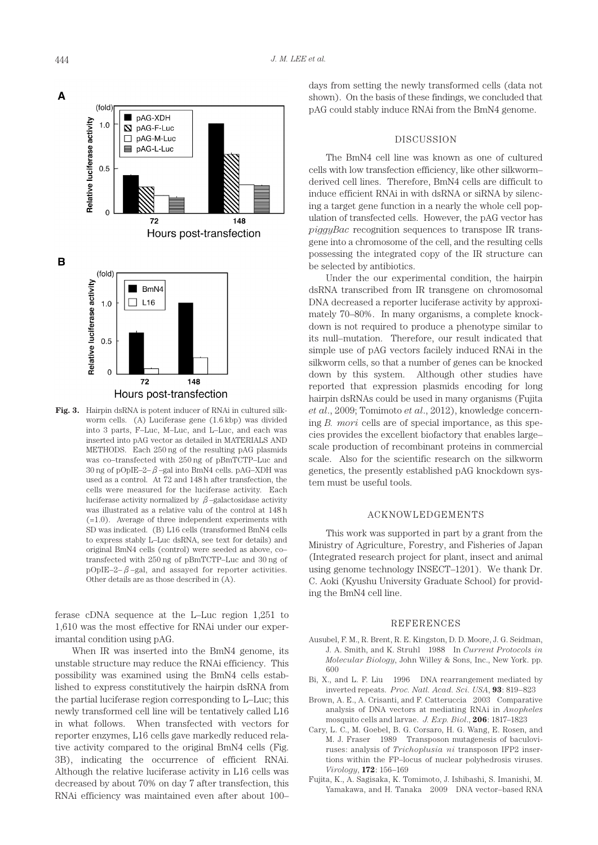



**Fig. 3.** Hairpin dsRNA is potent inducer of RNAi in cultured silkworm cells. (A) Luciferase gene (1.6 kbp) was divided into 3 parts, F–Luc, M–Luc, and L–Luc, and each was inserted into pAG vector as detailed in MATERIALS AND METHODS. Each 250 ng of the resulting pAG plasmids was co–transfected with 250 ng of pBmTCTP–Luc and 30 ng of pOpIE–2– $\beta$ –gal into BmN4 cells. pAG–XDH was used as a control. At 72 and 148 h after transfection, the cells were measured for the luciferase activity. Each luciferase activity normalized by  $\beta$ -galactosidase activity was illustrated as a relative valu of the control at 148 h (=1.0). Average of three independent experiments with SD was indicated. (B) L16 cells (transformed BmN4 cells to express stably L–Luc dsRNA, see text for details) and original BmN4 cells (control) were seeded as above, co– transfected with 250 ng of pBmTCTP–Luc and 30 ng of  $pOpIE-2-\beta$ –gal, and assayed for reporter activities. Other details are as those described in (A).

ferase cDNA sequence at the L–Luc region 1,251 to 1,610 was the most effective for RNAi under our experimantal condition using pAG.

When IR was inserted into the BmN4 genome, its unstable structure may reduce the RNAi efficiency. This possibility was examined using the BmN4 cells established to express constitutively the hairpin dsRNA from the partial luciferase region corresponding to L–Luc; this newly transformed cell line will be tentatively called L16 in what follows. When transfected with vectors for reporter enzymes, L16 cells gave markedly reduced relative activity compared to the original BmN4 cells (Fig. 3B), indicating the occurrence of efficient RNAi. Although the relative luciferase activity in L16 cells was decreased by about 70% on day 7 after transfection, this RNAi efficiency was maintained even after about 100–

days from setting the newly transformed cells (data not shown). On the basis of these findings, we concluded that pAG could stably induce RNAi from the BmN4 genome.

## DISCUSSION

The BmN4 cell line was known as one of cultured cells with low transfection efficiency, like other silkworm– derived cell lines. Therefore, BmN4 cells are difficult to induce efficient RNAi in with dsRNA or siRNA by silencing a target gene function in a nearly the whole cell population of transfected cells. However, the pAG vector has *piggyBac* recognition sequences to transpose IR transgene into a chromosome of the cell, and the resulting cells possessing the integrated copy of the IR structure can be selected by antibiotics.

Under the our experimental condition, the hairpin dsRNA transcribed from IR transgene on chromosomal DNA decreased a reporter luciferase activity by approximately 70–80%. In many organisms, a complete knockdown is not required to produce a phenotype similar to its null–mutation. Therefore, our result indicated that simple use of pAG vectors facilely induced RNAi in the silkworm cells, so that a number of genes can be knocked down by this system. Although other studies have reported that expression plasmids encoding for long hairpin dsRNAs could be used in many organisms (Fujita *et al*., 2009; Tomimoto *et al*., 2012), knowledge concerning *B. mori* cells are of special importance, as this species provides the excellent biofactory that enables large– scale production of recombinant proteins in commercial scale. Also for the scientific research on the silkworm genetics, the presently established pAG knockdown system must be useful tools.

## ACKNOWLEDGEMENTS

This work was supported in part by a grant from the Ministry of Agriculture, Forestry, and Fisheries of Japan (Integrated research project for plant, insect and animal using genome technology INSECT–1201). We thank Dr. C. Aoki (Kyushu University Graduate School) for providing the BmN4 cell line.

## REFERENCES

- Ausubel, F. M., R. Brent, R. E. Kingston, D. D. Moore, J. G. Seidman, J. A. Smith, and K. Struhl 1988 In *Current Protocols in Molecular Biology*, John Willey & Sons, Inc., New York. pp. 600
- Bi, X., and L. F. Liu 1996 DNA rearrangement mediated by inverted repeats. *Proc. Natl. Acad. Sci. USA*, **93**: 819–823
- Brown, A. E., A. Crisanti, and F. Catteruccia 2003 Comparative analysis of DNA vectors at mediating RNAi in *Anopheles*  mosquito cells and larvae. *J. Exp. Biol*., **206**: 1817–1823
- Cary, L. C., M. Goebel, B. G. Corsaro, H. G. Wang, E. Rosen, and M. J. Fraser 1989 Transposon mutagenesis of baculoviruses: analysis of *Trichoplusia ni* transposon IFP2 insertions within the FP–locus of nuclear polyhedrosis viruses. *Virology*, **172**: 156–169
- Fujita, K., A. Sagisaka, K. Tomimoto, J. Ishibashi, S. Imanishi, M. Yamakawa, and H. Tanaka 2009 DNA vector–based RNA